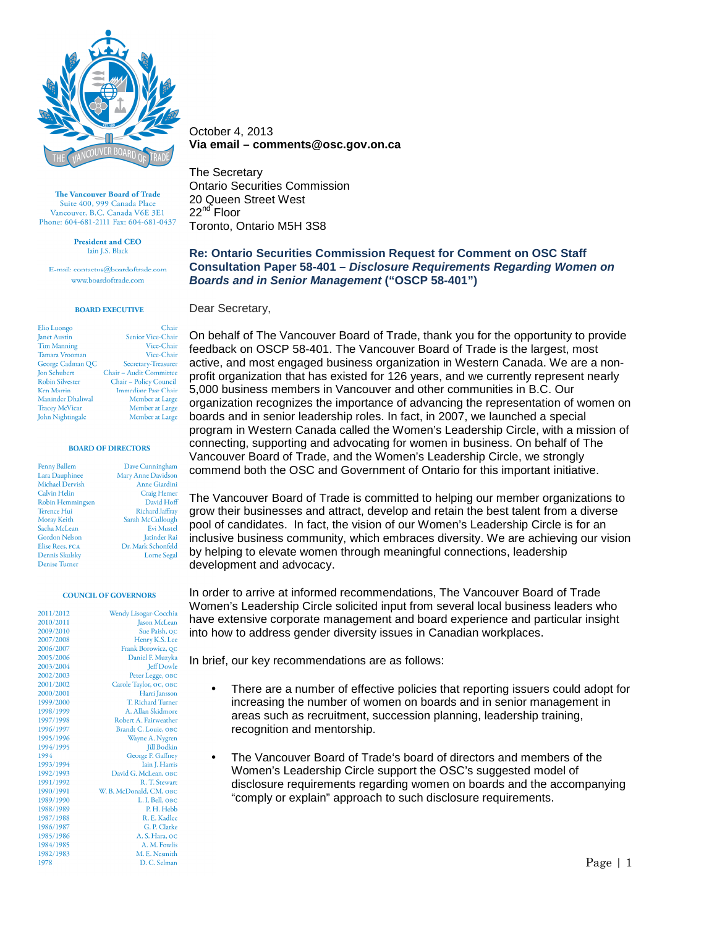

> **President and CEO Jain LS**, Black

E-mail: contactus@boardoftrade.com www.boardoftrade.com

## **BOARD EXECUTIVE**

| Elio Luongo            | Chair                   |
|------------------------|-------------------------|
| Janet Austin           | Senior Vice-Chair       |
| <b>Tim Manning</b>     | Vice-Chair              |
| Tamara Vrooman         | Vice-Chair              |
| George Cadman QC       | Secretary-Treasurer     |
| Jon Schubert           | Chair - Audit Committee |
| <b>Robin Silvester</b> | Chair - Policy Council  |
| <b>Ken Martin</b>      | Immediate Past Chair    |
| Maninder Dhaliwal      | Member at Large         |
| <b>Tracey McVicar</b>  | Member at Large         |
| John Nightingale       | Member at Large         |

### **BOARD OF DIRECTORS**

| Penny Ballem            | Dave Cunningham     |
|-------------------------|---------------------|
| Lara Dauphinee          | Mary Anne Davidson  |
| Michael Dervish         | Anne Giardini       |
| Calvin Helin            | Craig Hemer         |
| <b>Robin Hemmingsen</b> | David Hoff          |
| <b>Terence Hui</b>      | Richard Jaffray     |
| Moray Keith             | Sarah McCullough    |
| Sacha McLean            | <b>Evi Mustel</b>   |
| <b>Gordon Nelson</b>    | <b>Jatinder Rai</b> |
| Elise Rees, FCA         | Dr. Mark Schonfeld  |
| Dennis Skulsky          | <b>Lorne</b> Segal  |
| <b>Denise Turner</b>    |                     |

#### **COUNCIL OF GOVERNORS**

| 2011/2012 | Wendy Lisogar-Cocchia   |
|-----------|-------------------------|
| 2010/2011 | Jason McLean            |
| 2009/2010 | Sue Paish, QC           |
| 2007/2008 | Henry K.S. Lee          |
| 2006/2007 | Frank Borowicz, QC      |
| 2005/2006 | Daniel F. Muzyka        |
| 2003/2004 | <b>Jeff Dowle</b>       |
| 2002/2003 | Peter Legge, OBC        |
| 2001/2002 | Carole Taylor, OC, OBC  |
| 2000/2001 | Harri Jansson           |
| 1999/2000 | T. Richard Turner       |
| 1998/1999 | A. Allan Skidmore       |
| 1997/1998 | Robert A. Fairweather   |
| 1996/1997 | Brandt C. Louie, OBC    |
| 1995/1996 | Wayne A. Nygren         |
| 1994/1995 | <b>Jill Bodkin</b>      |
| 1994      | George F. Gaffney       |
| 1993/1994 | Iain J. Harris          |
| 1992/1993 | David G. McLean, OBC    |
| 1991/1992 | R. T. Stewart           |
| 1990/1991 | W. B. McDonald, CM, OBC |
| 1989/1990 | L. I. Bell, OBC         |
| 1988/1989 | P. H. Hebb              |
| 1987/1988 | R. E. Kadlec            |
| 1986/1987 | G. P. Clarke            |
| 1985/1986 | A. S. Hara, oc          |
| 1984/1985 | A. M. Fowlis            |
| 1982/1983 | M. E. Nesmith           |
| 1978      | D. C. Selman            |

October 4, 2013 **Via email – comments@osc.gov.on.ca** 

The Secretary Ontario Securities Commission 20 Queen Street West 22<sup>nd</sup> Floor Toronto, Ontario M5H 3S8

**Re: Ontario Securities Commission Request for Comment on OSC Staff Consultation Paper 58-401 – Disclosure Requirements Regarding Women on Boards and in Senior Management ("OSCP 58-401")** 

Dear Secretary,

On behalf of The Vancouver Board of Trade, thank you for the opportunity to provide feedback on OSCP 58-401. The Vancouver Board of Trade is the largest, most active, and most engaged business organization in Western Canada. We are a nonprofit organization that has existed for 126 years, and we currently represent nearly 5,000 business members in Vancouver and other communities in B.C. Our organization recognizes the importance of advancing the representation of women on boards and in senior leadership roles. In fact, in 2007, we launched a special program in Western Canada called the Women's Leadership Circle, with a mission of connecting, supporting and advocating for women in business. On behalf of The Vancouver Board of Trade, and the Women's Leadership Circle, we strongly commend both the OSC and Government of Ontario for this important initiative.

The Vancouver Board of Trade is committed to helping our member organizations to grow their businesses and attract, develop and retain the best talent from a diverse pool of candidates. In fact, the vision of our Women's Leadership Circle is for an inclusive business community, which embraces diversity. We are achieving our vision by helping to elevate women through meaningful connections, leadership development and advocacy.

In order to arrive at informed recommendations, The Vancouver Board of Trade Women's Leadership Circle solicited input from several local business leaders who have extensive corporate management and board experience and particular insight into how to address gender diversity issues in Canadian workplaces.

In brief, our key recommendations are as follows:

- There are a number of effective policies that reporting issuers could adopt for increasing the number of women on boards and in senior management in areas such as recruitment, succession planning, leadership training, recognition and mentorship.
- The Vancouver Board of Trade's board of directors and members of the Women's Leadership Circle support the OSC's suggested model of disclosure requirements regarding women on boards and the accompanying "comply or explain" approach to such disclosure requirements.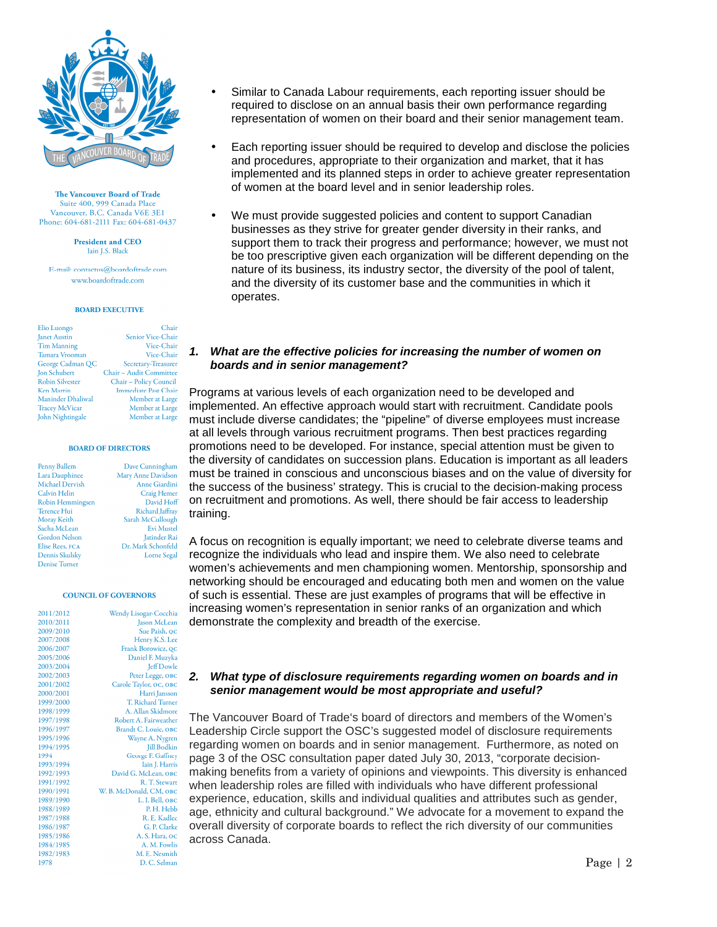

> **President and CEO Jain LS**, Black

E-mail: contactus@boardoftrade.com www.boardoftrade.com

### **BOARD EXECUTIVE**

| Elio Luongo            | Chair                       |
|------------------------|-----------------------------|
| Janet Austin           | Senior Vice-Chair           |
| <b>Tim Manning</b>     | Vice-Chair                  |
| Tamara Vrooman         | Vice-Chair                  |
| George Cadman QC       | Secretary-Treasurer         |
| Jon Schubert           | Chair - Audit Committee     |
| <b>Robin Silvester</b> | Chair - Policy Council      |
| <b>Ken Martin</b>      | <b>Immediate Past Chair</b> |
| Maninder Dhaliwal      | Member at Large             |
| <b>Tracey McVicar</b>  | Member at Large             |
| John Nightingale       | Member at Large             |

#### **BOARD OF DIRECTORS**

| Penny Ballem            | Dave Cunningham      |
|-------------------------|----------------------|
| Lara Dauphinee          | Mary Anne Davidson   |
| Michael Dervish         | <b>Anne Giardini</b> |
| Calvin Helin            | Craig Hemer          |
| <b>Robin Hemmingsen</b> | David Hoff           |
| <b>Terence Hui</b>      | Richard Jaffray      |
| Moray Keith             | Sarah McCullough     |
| Sacha McLean            | <b>Evi Mustel</b>    |
| <b>Gordon Nelson</b>    | <b>Jatinder Rai</b>  |
| Elise Rees, FCA         | Dr. Mark Schonfeld   |
| Dennis Skulsky          | <b>Lorne</b> Segal   |
| Denice Turner           |                      |

#### **COUNCIL OF GOVERNORS**

| Wendy Lisogar-Cocchi   | 2011/2012 |
|------------------------|-----------|
| Jason McLear           | 2010/2011 |
| Sue Paish, Q           | 2009/2010 |
| Henry K.S. Le          | 2007/2008 |
| Frank Borowicz, Qo     | 2006/2007 |
| Daniel F. Muzyk        | 2005/2006 |
| Jeff Dowl              | 2003/2004 |
| Peter Legge, Ов        | 2002/2003 |
| Carole Taylor, OC, ОВ  | 2001/2002 |
| Harri Janssor          | 2000/2001 |
| T. Richard Turne       | 1999/2000 |
| A. Allan Skidmor       | 1998/1999 |
| Robert A. Fairweathe   | 1997/1998 |
| Brandt C. Louie, OB    | 1996/1997 |
| Wayne A. Nygrei        | 1995/1996 |
| Jill Bodkii            | 1994/1995 |
| George F. Gaffne       | 1994      |
| Iain J. Harri          | 1993/1994 |
| David G. McLean, ов    | 1992/1993 |
| R. T. Stewar           | 1991/1992 |
| W. B. McDonald, СМ, ов | 1990/1991 |
| L. I. Bell, ов         | 1989/1990 |
| P. H. Hebl             | 1988/1989 |
| R. E. Kadle            | 1987/1988 |
| G. P. Clark            | 1986/1987 |
| A. S. Hara, O          | 1985/1986 |
| A. M. Fowli            | 1984/1985 |
| M. E. Nesmitl          | 1982/1983 |
| D. C. Selmai           | 1978      |

- Similar to Canada Labour requirements, each reporting issuer should be required to disclose on an annual basis their own performance regarding representation of women on their board and their senior management team.
- Each reporting issuer should be required to develop and disclose the policies and procedures, appropriate to their organization and market, that it has implemented and its planned steps in order to achieve greater representation of women at the board level and in senior leadership roles.
- We must provide suggested policies and content to support Canadian businesses as they strive for greater gender diversity in their ranks, and support them to track their progress and performance; however, we must not be too prescriptive given each organization will be different depending on the nature of its business, its industry sector, the diversity of the pool of talent, and the diversity of its customer base and the communities in which it operates.

## **1. What are the effective policies for increasing the number of women on boards and in senior management?**

Programs at various levels of each organization need to be developed and implemented. An effective approach would start with recruitment. Candidate pools must include diverse candidates; the "pipeline" of diverse employees must increase at all levels through various recruitment programs. Then best practices regarding promotions need to be developed. For instance, special attention must be given to the diversity of candidates on succession plans. Education is important as all leaders must be trained in conscious and unconscious biases and on the value of diversity for the success of the business' strategy. This is crucial to the decision-making process on recruitment and promotions. As well, there should be fair access to leadership training.

A focus on recognition is equally important; we need to celebrate diverse teams and recognize the individuals who lead and inspire them. We also need to celebrate women's achievements and men championing women. Mentorship, sponsorship and networking should be encouraged and educating both men and women on the value of such is essential. These are just examples of programs that will be effective in increasing women's representation in senior ranks of an organization and which demonstrate the complexity and breadth of the exercise.

## **2. What type of disclosure requirements regarding women on boards and in senior management would be most appropriate and useful?**

The Vancouver Board of Trade's board of directors and members of the Women's Leadership Circle support the OSC's suggested model of disclosure requirements regarding women on boards and in senior management. Furthermore, as noted on page 3 of the OSC consultation paper dated July 30, 2013, "corporate decisionmaking benefits from a variety of opinions and viewpoints. This diversity is enhanced when leadership roles are filled with individuals who have different professional experience, education, skills and individual qualities and attributes such as gender, age, ethnicity and cultural background." We advocate for a movement to expand the overall diversity of corporate boards to reflect the rich diversity of our communities across Canada.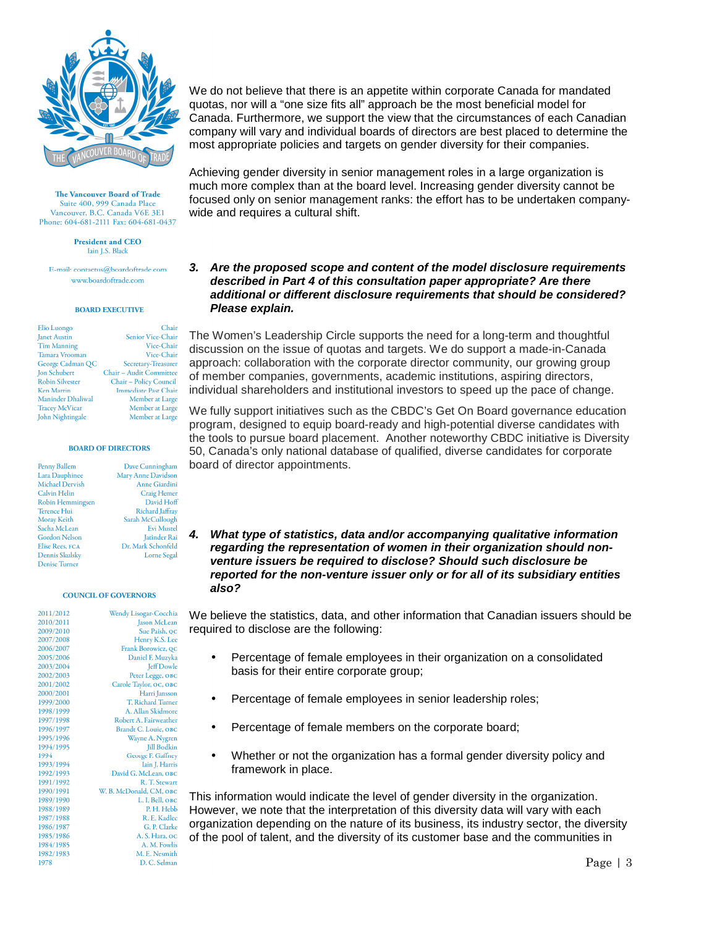

**President and CEO Jain LS**, Black

E-mail: contactus@boardoftrade.com www.boardoftrade.com

## **BOARD EXECUTIVE**

| Elio Luongo             | Chair                       |
|-------------------------|-----------------------------|
| Janet Austin            | Senior Vice-Chair           |
| <b>Tim Manning</b>      | Vice-Chair                  |
| Tamara Vrooman          | Vice-Chair                  |
| George Cadman QC        | Secretary-Treasurer         |
| Jon Schubert            | Chair - Audit Committee     |
| <b>Robin Silvester</b>  | Chair - Policy Council      |
| <b>Ken Martin</b>       | <b>Immediate Past Chair</b> |
| Maninder Dhaliwal       | Member at Large             |
| <b>Tracey McVicar</b>   | Member at Large             |
| <b>John Nightingale</b> | Member at Large             |

#### **BOARD OF DIRECTORS**

| Penny Ballem         | Dave Cunningham    |
|----------------------|--------------------|
| Lara Dauphinee       | Mary Anne Davidson |
| Michael Dervish      | Anne Giardini      |
| Calvin Helin         | Craig Hemer        |
| Robin Hemmingsen     | David Hoff         |
| Terence Hui          | Richard Jaffray    |
| Moray Keith          | Sarah McCullough   |
| Sacha McLean         | Evi Muste          |
| <b>Gordon Nelson</b> | Jatinder Rai       |
| Elise Rees, FCA      | Dr. Mark Schonfeld |
| Dennis Skulsky       | Lorne Segal        |
| Denice Turner        |                    |

#### **COUNCIL OF GOVERNORS**

| 2011/2012 | Wendy Lisogar-Cocchia    |
|-----------|--------------------------|
| 2010/2011 | Jason McLean             |
| 2009/2010 | Sue Paish, QC            |
| 2007/2008 | Henry K.S. Lee           |
| 2006/2007 | Frank Borowicz, QC       |
| 2005/2006 | Daniel F. Muzyka         |
| 2003/2004 | <b>Jeff Dowle</b>        |
| 2002/2003 | Peter Legge, OBC         |
| 2001/2002 | Carole Taylor, OC, OBC   |
| 2000/2001 | Harri Jansson            |
| 1999/2000 | <b>T. Richard Turner</b> |
| 1998/1999 | A. Allan Skidmore        |
| 1997/1998 | Robert A. Fairweather    |
| 1996/1997 | Brandt C. Louie, OBC     |
| 1995/1996 | Wayne A. Nygren          |
| 1994/1995 | <b>Jill Bodkin</b>       |
| 1994      | George F. Gaffney        |
| 1993/1994 | Iain J. Harris           |
| 1992/1993 | David G. McLean, OBC     |
| 1991/1992 | R. T. Stewart            |
| 1990/1991 | W. B. McDonald, CM, OBC  |
| 1989/1990 | L. I. Bell, OBC          |
| 1988/1989 | P. H. Hebb               |
| 1987/1988 | R. E. Kadlec             |
| 1986/1987 | G. P. Clarke             |
| 1985/1986 | A. S. Hara, oc           |
| 1984/1985 | A. M. Fowlis             |
| 1982/1983 | M. E. Nesmith            |
| 1978      | D. C. Selman             |

We do not believe that there is an appetite within corporate Canada for mandated quotas, nor will a "one size fits all" approach be the most beneficial model for Canada. Furthermore, we support the view that the circumstances of each Canadian company will vary and individual boards of directors are best placed to determine the most appropriate policies and targets on gender diversity for their companies.

Achieving gender diversity in senior management roles in a large organization is much more complex than at the board level. Increasing gender diversity cannot be focused only on senior management ranks: the effort has to be undertaken companywide and requires a cultural shift.

## **3. Are the proposed scope and content of the model disclosure requirements described in Part 4 of this consultation paper appropriate? Are there additional or different disclosure requirements that should be considered? Please explain.**

The Women's Leadership Circle supports the need for a long-term and thoughtful discussion on the issue of quotas and targets. We do support a made-in-Canada approach: collaboration with the corporate director community, our growing group of member companies, governments, academic institutions, aspiring directors, individual shareholders and institutional investors to speed up the pace of change.

We fully support initiatives such as the CBDC's Get On Board governance education program, designed to equip board-ready and high-potential diverse candidates with the tools to pursue board placement. Another noteworthy CBDC initiative is Diversity 50, Canada's only national database of qualified, diverse candidates for corporate board of director appointments.

**4. What type of statistics, data and/or accompanying qualitative information regarding the representation of women in their organization should nonventure issuers be required to disclose? Should such disclosure be reported for the non-venture issuer only or for all of its subsidiary entities also?** 

We believe the statistics, data, and other information that Canadian issuers should be required to disclose are the following:

- Percentage of female employees in their organization on a consolidated basis for their entire corporate group;
- Percentage of female employees in senior leadership roles;
- Percentage of female members on the corporate board;
- Whether or not the organization has a formal gender diversity policy and framework in place.

This information would indicate the level of gender diversity in the organization. However, we note that the interpretation of this diversity data will vary with each organization depending on the nature of its business, its industry sector, the diversity of the pool of talent, and the diversity of its customer base and the communities in